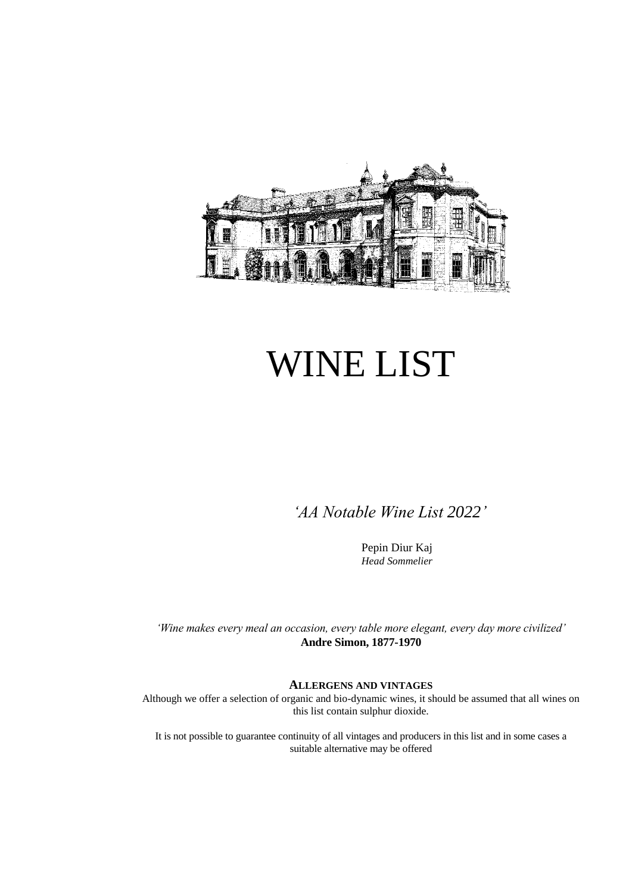

# WINE LIST

 *'AA Notable Wine List 2022'*

Pepin Diur Kaj *Head Sommelier*

*'Wine makes every meal an occasion, every table more elegant, every day more civilized'* **Andre Simon, 1877-1970**

#### **ALLERGENS AND VINTAGES**

Although we offer a selection of organic and bio-dynamic wines, it should be assumed that all wines on this list contain sulphur dioxide.

It is not possible to guarantee continuity of all vintages and producers in this list and in some cases a suitable alternative may be offered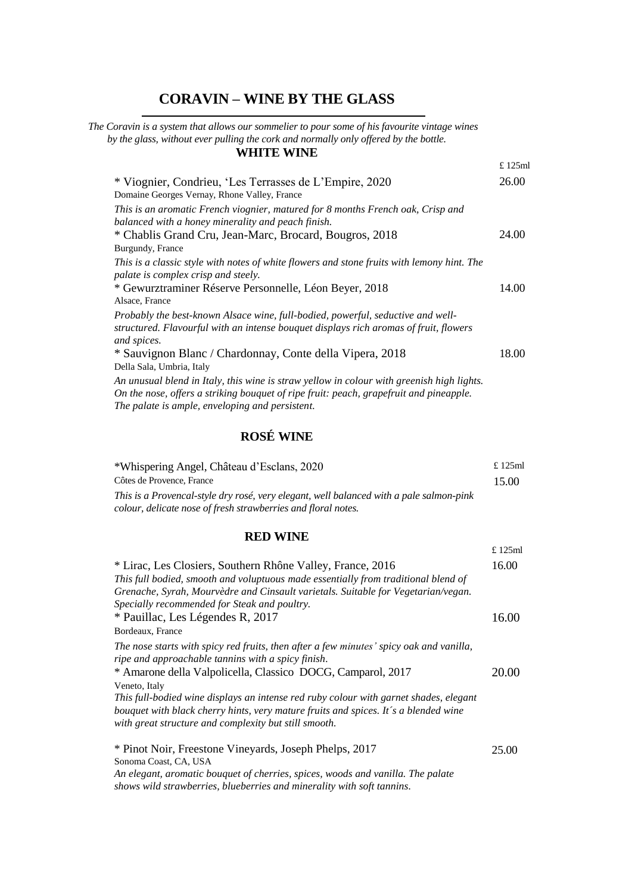# **CORAVIN – WINE BY THE GLASS**

 *The Coravin is a system that allows our sommelier to pour some of his favourite vintage wines by the glass, without ever pulling the cork and normally only offered by the bottle.* **WHITE WINE**

|                                                                                                                                                                                                                                        | £ 125ml |
|----------------------------------------------------------------------------------------------------------------------------------------------------------------------------------------------------------------------------------------|---------|
| * Viognier, Condrieu, 'Les Terrasses de L'Empire, 2020<br>Domaine Georges Vernay, Rhone Valley, France                                                                                                                                 | 26.00   |
| This is an aromatic French viognier, matured for 8 months French oak, Crisp and<br>balanced with a honey minerality and peach finish.                                                                                                  |         |
| * Chablis Grand Cru, Jean-Marc, Brocard, Bougros, 2018<br>Burgundy, France                                                                                                                                                             | 24.00   |
| This is a classic style with notes of white flowers and stone fruits with lemony hint. The<br>palate is complex crisp and steely.                                                                                                      |         |
| * Gewurztraminer Réserve Personnelle, Léon Beyer, 2018<br>Alsace, France                                                                                                                                                               | 14.00   |
| Probably the best-known Alsace wine, full-bodied, powerful, seductive and well-<br>structured. Flavourful with an intense bouquet displays rich aromas of fruit, flowers<br>and spices.                                                |         |
| * Sauvignon Blanc / Chardonnay, Conte della Vipera, 2018<br>Della Sala, Umbria, Italy                                                                                                                                                  | 18.00   |
| An unusual blend in Italy, this wine is straw yellow in colour with greenish high lights.<br>On the nose, offers a striking bouquet of ripe fruit: peach, grapefruit and pineapple.<br>The palate is ample, enveloping and persistent. |         |

## **ROSÉ WINE**

| *Whispering Angel, Château d'Esclans, 2020                                              | £125ml |
|-----------------------------------------------------------------------------------------|--------|
| Côtes de Provence, France                                                               | 15.00  |
| This is a Provencal-style dry rosé, very elegant, well balanced with a pale salmon-pink |        |
| colour, delicate nose of fresh strawberries and floral notes.                           |        |
|                                                                                         |        |

#### **RED WINE**

|                                                                                                                                                                                                                                                                                       | $£$ 125 $ml$ |
|---------------------------------------------------------------------------------------------------------------------------------------------------------------------------------------------------------------------------------------------------------------------------------------|--------------|
| * Lirac, Les Closiers, Southern Rhône Valley, France, 2016<br>This full bodied, smooth and voluptuous made essentially from traditional blend of<br>Grenache, Syrah, Mourvèdre and Cinsault varietals. Suitable for Vegetarian/vegan.<br>Specially recommended for Steak and poultry. | 16.00        |
| * Pauillac, Les Légendes R, 2017                                                                                                                                                                                                                                                      | 16.00        |
| Bordeaux, France                                                                                                                                                                                                                                                                      |              |
| The nose starts with spicy red fruits, then after a few minutes' spicy oak and vanilla,<br>ripe and approachable tannins with a spicy finish.<br>* Amarone della Valpolicella, Classico DOCG, Camparol, 2017                                                                          | 20.00        |
| Veneto, Italy                                                                                                                                                                                                                                                                         |              |
| This full-bodied wine displays an intense red ruby colour with garnet shades, elegant<br>bouquet with black cherry hints, very mature fruits and spices. It's a blended wine<br>with great structure and complexity but still smooth.                                                 |              |
| * Pinot Noir, Freestone Vineyards, Joseph Phelps, 2017                                                                                                                                                                                                                                | 25.00        |
| Sonoma Coast, CA, USA                                                                                                                                                                                                                                                                 |              |
| An elegant, aromatic bouquet of cherries, spices, woods and vanilla. The palate                                                                                                                                                                                                       |              |

*shows wild strawberries, blueberries and minerality with soft tannins.*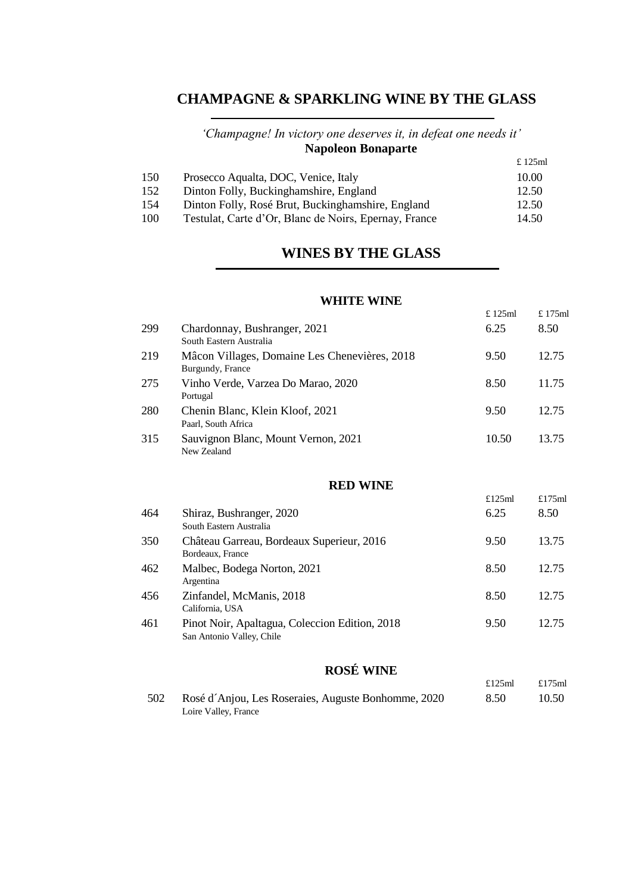# **CHAMPAGNE & SPARKLING WINE BY THE GLASS**

#### *'Champagne! In victory one deserves it, in defeat one needs it'* **Napoleon Bonaparte** £ 125ml

| 12.50 |
|-------|
| 12.50 |
| 14.50 |
|       |

# **WINES BY THE GLASS**

## **WHITE WINE**

£ 125ml £ 175ml

£125ml £175ml

| 299 | Chardonnay, Bushranger, 2021<br>South Eastern Australia           | 6.25      | 8.50      |
|-----|-------------------------------------------------------------------|-----------|-----------|
| 219 | Mâcon Villages, Domaine Les Chenevières, 2018<br>Burgundy, France | 9.50      | 12.75     |
| 275 | Vinho Verde, Varzea Do Marao, 2020<br>Portugal                    | 8.50      | 11.75     |
| 280 | Chenin Blanc, Klein Kloof, 2021<br>Paarl, South Africa            | 9.50      | 12.75     |
| 315 | Sauvignon Blanc, Mount Vernon, 2021<br>New Zealand                | 10.50     | 13.75     |
|     | <b>RED WINE</b>                                                   |           |           |
|     |                                                                   | £125 $ml$ | £175 $ml$ |
| 464 | Shiraz Rushranger 2020                                            | 625       | 8.50.     |

| 464 | Shiraz, Bushranger, 2020<br>South Eastern Australia                         | 6.25 | 8.50  |
|-----|-----------------------------------------------------------------------------|------|-------|
| 350 | Château Garreau, Bordeaux Superieur, 2016<br>Bordeaux, France               | 9.50 | 13.75 |
| 462 | Malbec, Bodega Norton, 2021<br>Argentina                                    | 8.50 | 12.75 |
| 456 | Zinfandel, McManis, 2018<br>California, USA                                 | 8.50 | 12.75 |
| 461 | Pinot Noir, Apaltagua, Coleccion Edition, 2018<br>San Antonio Valley, Chile | 9.50 | 12.75 |

# **ROSÉ WINE**

| 502 | Rosé d'Anjou, Les Roseraies, Auguste Bonhomme, 2020 | 8.50 | 10.50 |
|-----|-----------------------------------------------------|------|-------|
|     | Loire Valley, France                                |      |       |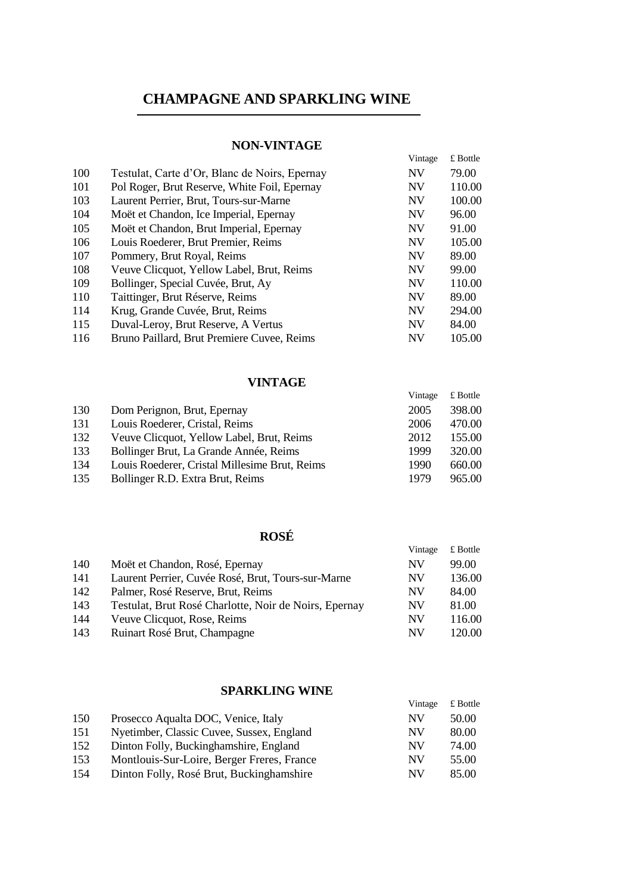# **CHAMPAGNE AND SPARKLING WINE**

#### **NON-VINTAGE**

|     |                                               | Vintage   | £ Bottle |
|-----|-----------------------------------------------|-----------|----------|
| 100 | Testulat, Carte d'Or, Blanc de Noirs, Epernay | <b>NV</b> | 79.00    |
|     |                                               |           |          |
| 101 | Pol Roger, Brut Reserve, White Foil, Epernay  | <b>NV</b> | 110.00   |
| 103 | Laurent Perrier, Brut, Tours-sur-Marne        | <b>NV</b> | 100.00   |
| 104 | Moët et Chandon, Ice Imperial, Epernay        | <b>NV</b> | 96.00    |
| 105 | Moët et Chandon, Brut Imperial, Epernay       | <b>NV</b> | 91.00    |
| 106 | Louis Roederer, Brut Premier, Reims           | <b>NV</b> | 105.00   |
| 107 | Pommery, Brut Royal, Reims                    | <b>NV</b> | 89.00    |
| 108 | Veuve Clicquot, Yellow Label, Brut, Reims     | <b>NV</b> | 99.00    |
| 109 | Bollinger, Special Cuvée, Brut, Ay            | <b>NV</b> | 110.00   |
| 110 | Taittinger, Brut Réserve, Reims               | <b>NV</b> | 89.00    |
| 114 | Krug, Grande Cuvée, Brut, Reims               | <b>NV</b> | 294.00   |
| 115 | Duval-Leroy, Brut Reserve, A Vertus           | <b>NV</b> | 84.00    |
| 116 | Bruno Paillard, Brut Premiere Cuvee, Reims    | <b>NV</b> | 105.00   |

#### **VINTAGE**

|     |                                               | Vintage | $£$ Bottle |
|-----|-----------------------------------------------|---------|------------|
| 130 | Dom Perignon, Brut, Epernay                   | 2005    | 398.00     |
| 131 | Louis Roederer, Cristal, Reims                | 2006    | 470.00     |
| 132 | Veuve Clicquot, Yellow Label, Brut, Reims     | 2012    | 155.00     |
| 133 | Bollinger Brut, La Grande Année, Reims        | 1999    | 320.00     |
| 134 | Louis Roederer, Cristal Millesime Brut, Reims | 1990    | 660.00     |
| 135 | Bollinger R.D. Extra Brut, Reims              | 1979    | 965.00     |

## **ROSÉ**

|     |                                                       | Vintage   | $\pounds$ Bottle |
|-----|-------------------------------------------------------|-----------|------------------|
| 140 | Moët et Chandon, Rosé, Epernay                        | NV        | 99.00            |
| 141 | Laurent Perrier, Cuvée Rosé, Brut, Tours-sur-Marne    | <b>NV</b> | 136.00           |
| 142 | Palmer, Rosé Reserve, Brut, Reims                     | NV        | 84.00            |
| 143 | Testulat, Brut Rosé Charlotte, Noir de Noirs, Epernay | <b>NV</b> | 81.00            |
| 144 | Veuve Clicquot, Rose, Reims                           | NV        | 116.00           |
| 143 | Ruinart Rosé Brut, Champagne                          | NV        | 120.00           |
|     |                                                       |           |                  |

#### **SPARKLING WINE**

|     |                                            | Vintage | £ Bottle |
|-----|--------------------------------------------|---------|----------|
| 150 | Prosecco Aqualta DOC, Venice, Italy        | NV      | 50.00    |
| 151 | Nyetimber, Classic Cuvee, Sussex, England  | NV      | 80.00    |
| 152 | Dinton Folly, Buckinghamshire, England     | NV      | 74.00    |
| 153 | Montlouis-Sur-Loire, Berger Freres, France | NV      | 55.00    |
| 154 | Dinton Folly, Rosé Brut, Buckinghamshire   | NV      | 85.00    |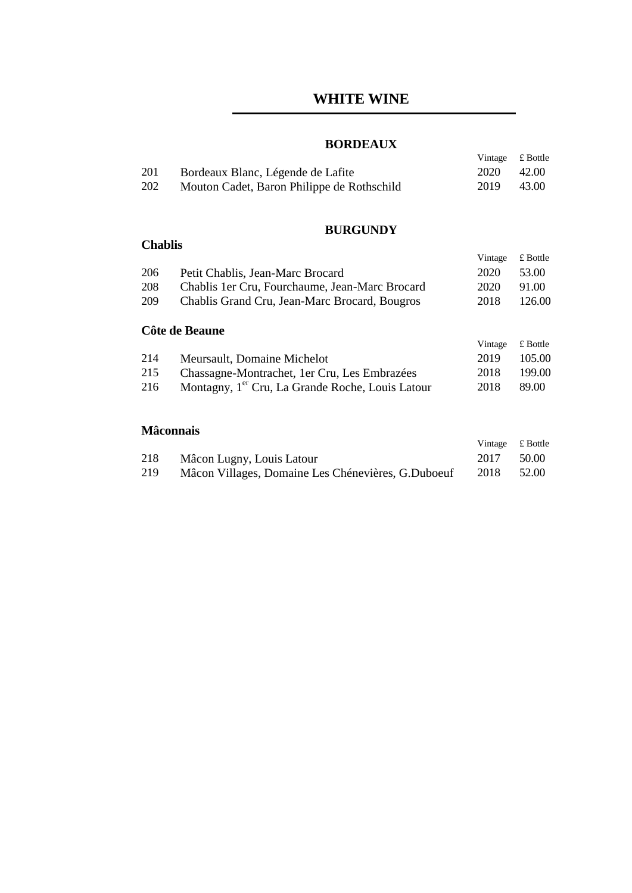#### **BORDEAUX**

Vintage £ Bottle

| 201 | Bordeaux Blanc, Légende de Lafite          | 2020 | 42.00 |
|-----|--------------------------------------------|------|-------|
| 202 | Mouton Cadet, Baron Philippe de Rothschild | 2019 | 43.00 |

## **BURGUNDY**

## **Chablis**

|     |                                                              | Vintage | $£$ Bottle       |
|-----|--------------------------------------------------------------|---------|------------------|
| 206 | Petit Chablis, Jean-Marc Brocard                             | 2020    | 53.00            |
| 208 | Chablis 1 er Cru, Fourchaume, Jean-Marc Brocard              | 2020    | 91.00            |
| 209 | Chablis Grand Cru, Jean-Marc Brocard, Bougros                | 2018    | 126.00           |
|     | Côte de Beaune                                               |         |                  |
|     |                                                              | Vintage | $\pounds$ Bottle |
| 214 | Meursault, Domaine Michelot                                  | 2019    | 105.00           |
| 215 | Chassagne-Montrachet, 1er Cru, Les Embrazées                 | 2018    | 199.00           |
| 216 | Montagny, 1 <sup>er</sup> Cru, La Grande Roche, Louis Latour | 2018    | 89.00            |
|     |                                                              |         |                  |
|     |                                                              |         |                  |

## **Mâconnais**

|     |                                                    | Vintage £ Bottle |       |
|-----|----------------------------------------------------|------------------|-------|
| 218 | Mâcon Lugny, Louis Latour                          | 2017             | 50.00 |
| 219 | Mâcon Villages, Domaine Les Chénevières, G.Duboeuf | 2018             | 52.00 |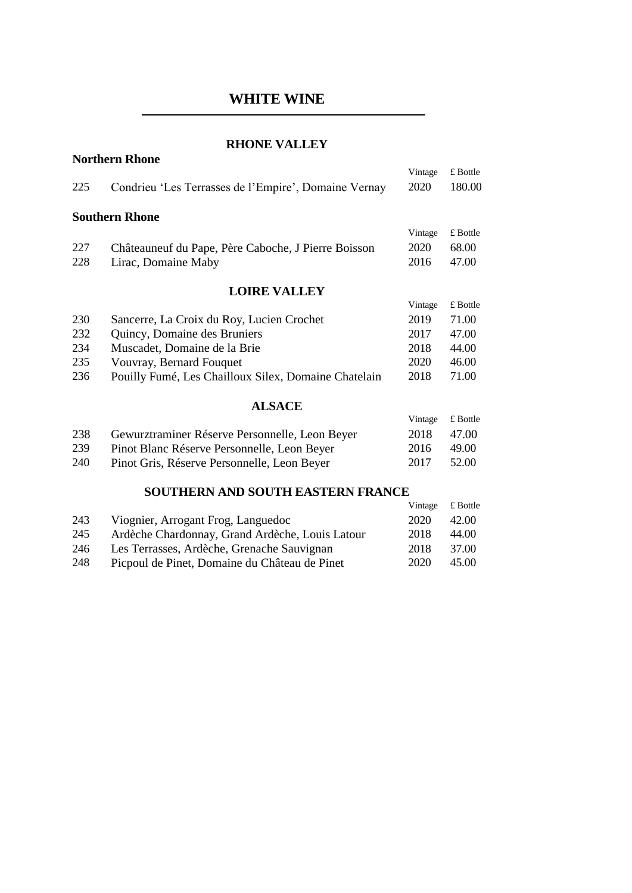#### **RHONE VALLEY**

**Northern Rhone**

|     |                                                      | Vintage | £ Bottle |
|-----|------------------------------------------------------|---------|----------|
| 225 | Condrieu 'Les Terrasses de l'Empire', Domaine Vernay | 2020    | 180.00   |
|     | <b>Southern Rhone</b>                                |         |          |
|     |                                                      | Vintage | £ Bottle |
| 227 | Châteauneuf du Pape, Père Caboche, J Pierre Boisson  | 2020    | 68.00    |
| 228 | Lirac, Domaine Maby                                  | 2016    | 47.00    |
|     | <b>LOIRE VALLEY</b>                                  |         |          |
|     |                                                      | Vintage | £ Bottle |
| 230 | Sancerre, La Croix du Roy, Lucien Crochet            | 2019    | 71.00    |
| 232 | Quincy, Domaine des Bruniers                         | 2017    | 47.00    |
| 234 | Muscadet, Domaine de la Brie                         | 2018    | 44.00    |
| 235 | Vouvray, Bernard Fouquet                             | 2020    | 46.00    |
| 236 | Pouilly Fumé, Les Chailloux Silex, Domaine Chatelain | 2018    | 71.00    |
|     | <b>ALSACE</b>                                        |         |          |
|     |                                                      | Vintage | £ Bottle |
| 238 | Gewurztraminer Réserve Personnelle, Leon Beyer       | 2018    | 47.00    |
| 239 | Pinot Blanc Réserve Personnelle, Leon Beyer          | 2016    | 49.00    |
| 240 | Pinot Gris, Réserve Personnelle, Leon Beyer          | 2017    | 52.00    |
|     | SOUTHERN AND SOUTH EASTERN FRANCE                    |         |          |

#### Vintage £ Bottle 243 245 Viognier, Arrogant Frog, Languedoc Ardèche Chardonnay, Grand Ardèche, Louis Latour 2020 2018 42.00 44.00 246 Les Terrasses, Ardèche, Grenache Sauvignan 2018 37.00 248 Picpoul de Pinet, Domaine du Château de Pinet 2020 45.00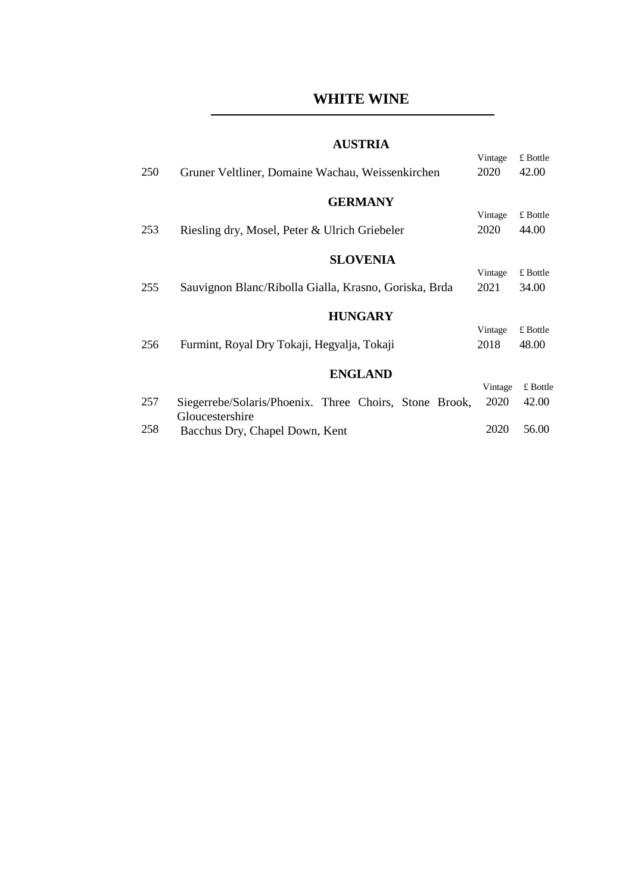#### **AUSTRIA**

| 250 | Gruner Veltliner, Domaine Wachau, Weissenkirchen                          | Vintage<br>2020 | £ Bottle<br>42.00 |
|-----|---------------------------------------------------------------------------|-----------------|-------------------|
|     | <b>GERMANY</b>                                                            |                 |                   |
|     |                                                                           | Vintage         | £ Bottle          |
| 253 | Riesling dry, Mosel, Peter & Ulrich Griebeler                             | 2020            | 44.00             |
|     | <b>SLOVENIA</b>                                                           |                 |                   |
|     |                                                                           | Vintage         | £ Bottle          |
| 255 | Sauvignon Blanc/Ribolla Gialla, Krasno, Goriska, Brda                     | 2021            | 34.00             |
|     |                                                                           |                 |                   |
|     | <b>HUNGARY</b>                                                            |                 |                   |
|     |                                                                           | Vintage         | £ Bottle          |
| 256 | Furmint, Royal Dry Tokaji, Hegyalja, Tokaji                               | 2018            | 48.00             |
|     |                                                                           |                 |                   |
|     | <b>ENGLAND</b>                                                            |                 |                   |
|     |                                                                           | Vintage         | £ Bottle          |
| 257 | Siegerrebe/Solaris/Phoenix. Three Choirs, Stone Brook,<br>Gloucestershire | 2020            | 42.00             |
| 258 | Bacchus Dry, Chapel Down, Kent                                            | 2020            | 56.00             |
|     |                                                                           |                 |                   |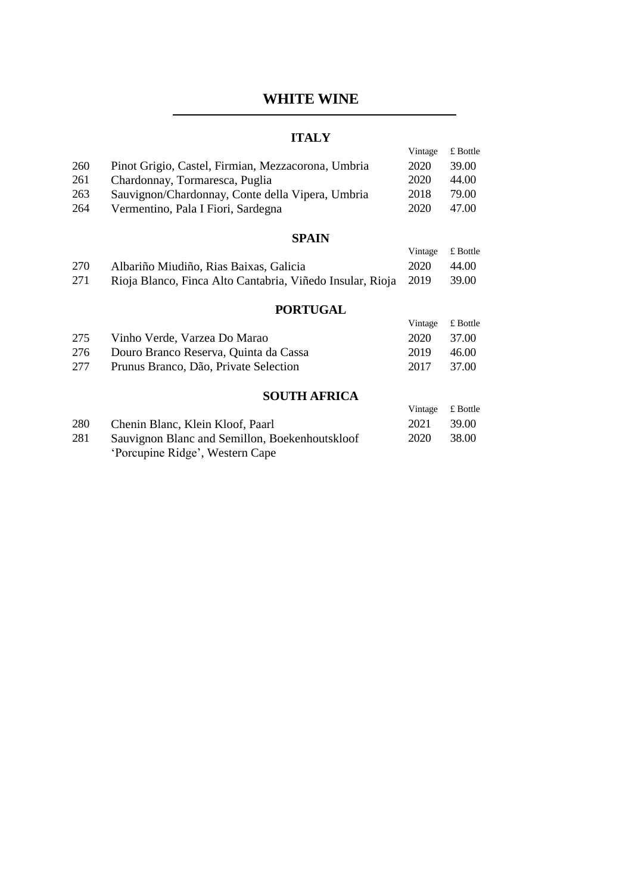## **ITALY**

|     |                                                           | Vintage | £ Bottle |
|-----|-----------------------------------------------------------|---------|----------|
| 260 | Pinot Grigio, Castel, Firmian, Mezzacorona, Umbria        | 2020    | 39.00    |
| 261 | Chardonnay, Tormaresca, Puglia                            | 2020    | 44.00    |
| 263 | Sauvignon/Chardonnay, Conte della Vipera, Umbria          | 2018    | 79.00    |
| 264 | Vermentino, Pala I Fiori, Sardegna                        | 2020    | 47.00    |
|     |                                                           |         |          |
|     | <b>SPAIN</b>                                              |         |          |
|     |                                                           | Vintage | £ Bottle |
| 270 | Albariño Miudiño, Rias Baixas, Galicia                    | 2020    | 44.00    |
| 271 | Rioja Blanco, Finca Alto Cantabria, Viñedo Insular, Rioja | 2019    | 39.00    |
|     |                                                           |         |          |
|     | <b>PORTUGAL</b>                                           |         |          |
|     |                                                           | Vintage | £ Bottle |
| 275 | Vinho Verde, Varzea Do Marao                              | 2020    | 37.00    |
| 276 | Douro Branco Reserva, Quinta da Cassa                     | 2019    | 46.00    |
| 277 | Prunus Branco, Dão, Private Selection                     | 2017    | 37.00    |
|     |                                                           |         |          |
|     | <b>SOUTH AFRICA</b>                                       |         |          |
|     |                                                           | Vintage | £ Bottle |
| 280 | Chenin Blanc, Klein Kloof, Paarl                          | 2021    | 39.00    |
| 281 | Sauvignon Blanc and Semillon, Boekenhoutskloof            | 2020    | 38.00    |
|     | 'Porcupine Ridge', Western Cape                           |         |          |
|     |                                                           |         |          |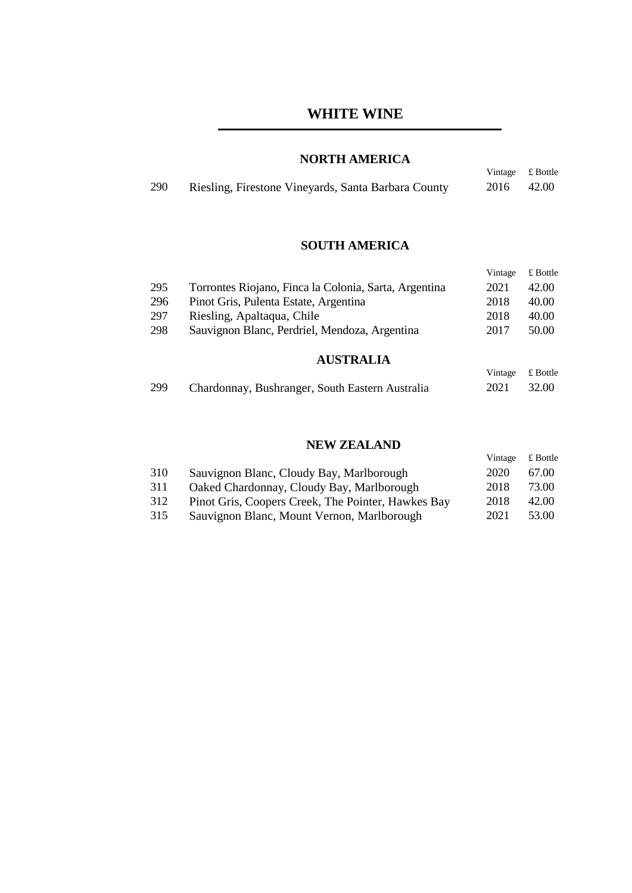## **NORTH AMERICA**

| 290 | Riesling, Firestone Vineyards, Santa Barbara County | 2016 42.00 |  |
|-----|-----------------------------------------------------|------------|--|
|     |                                                     |            |  |

Vintage £ Bottle

## **SOUTH AMERICA**

|                  |                                                       | Vintage | £ Bottle |  |
|------------------|-------------------------------------------------------|---------|----------|--|
| 295              | Torrontes Riojano, Finca la Colonia, Sarta, Argentina | 2021    | 42.00    |  |
| 296              | Pinot Gris, Pulenta Estate, Argentina                 | 2018    | 40.00    |  |
| 297              | Riesling, Apaltaqua, Chile                            | 2018    | 40.00    |  |
| 298              | Sauvignon Blanc, Perdriel, Mendoza, Argentina         | 2017    | 50.00    |  |
| <b>AUSTRALIA</b> |                                                       |         |          |  |

#### Vintage £ Bottle 299 Chardonnay, Bushranger, South Eastern Australia 2021 32.00

#### **NEW ZEALAND**

|     |                                                    | Vintage | £ Bottle |
|-----|----------------------------------------------------|---------|----------|
| 310 | Sauvignon Blanc, Cloudy Bay, Marlborough           | 2020    | 67.00    |
| 311 | Oaked Chardonnay, Cloudy Bay, Marlborough          | 2018    | 73.00    |
| 312 | Pinot Gris, Coopers Creek, The Pointer, Hawkes Bay | 2018    | 42.00    |
| 315 | Sauvignon Blanc, Mount Vernon, Marlborough         | 2021    | 53.00    |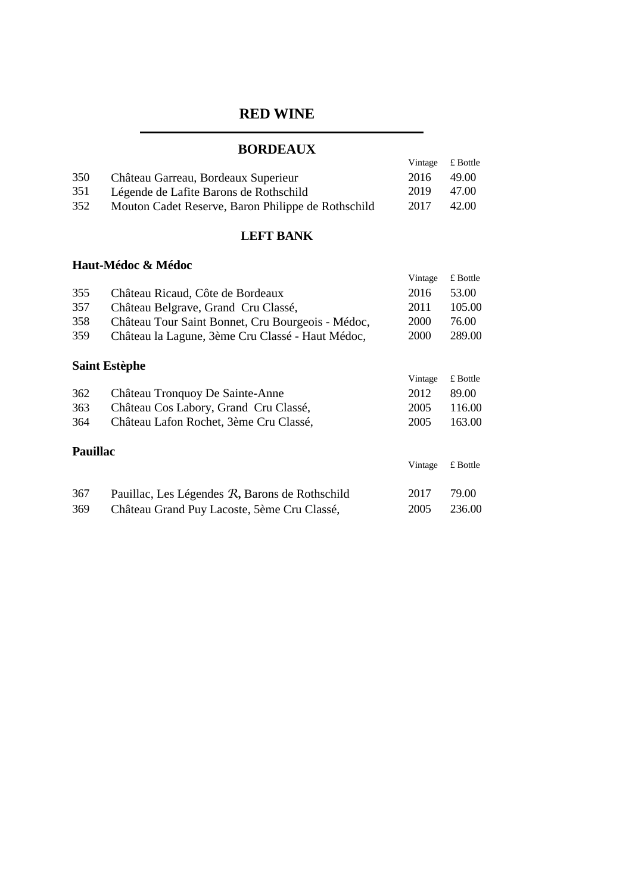# **BORDEAUX**

|     | <i><b>DWADDIA</b></i>                              |                  |       |
|-----|----------------------------------------------------|------------------|-------|
|     |                                                    | Vintage £ Bottle |       |
| 350 | Château Garreau, Bordeaux Superieur                | -2016            | 49.00 |
| 351 | Légende de Lafite Barons de Rothschild             | 2019             | 47.00 |
| 352 | Mouton Cadet Reserve, Baron Philippe de Rothschild | 2017             | 42.00 |

#### **LEFT BANK**

## **Haut-Médoc & Médoc**

|                 |                                                   | Vintage | £ Bottle   |
|-----------------|---------------------------------------------------|---------|------------|
| 355             | Château Ricaud, Côte de Bordeaux                  | 2016    | 53.00      |
| 357             | Château Belgrave, Grand Cru Classé,               | 2011    | 105.00     |
| 358             | Château Tour Saint Bonnet, Cru Bourgeois - Médoc, | 2000    | 76.00      |
| 359             | Château la Lagune, 3ème Cru Classé - Haut Médoc,  | 2000    | 289.00     |
|                 | <b>Saint Estèphe</b>                              |         |            |
|                 |                                                   | Vintage | £ Bottle   |
| 362             | Château Tronquoy De Sainte-Anne                   | 2012    | 89.00      |
| 363             | Château Cos Labory, Grand Cru Classé,             | 2005    | 116.00     |
| 364             | Château Lafon Rochet, 3ème Cru Classé,            | 2005    | 163.00     |
| <b>Pauillac</b> |                                                   |         |            |
|                 |                                                   | Vintage | $£$ Bottle |
| 367             | Pauillac, Les Légendes R, Barons de Rothschild    | 2017    | 79.00      |
| 369             | Château Grand Puy Lacoste, 5ème Cru Classé,       | 2005    | 236.00     |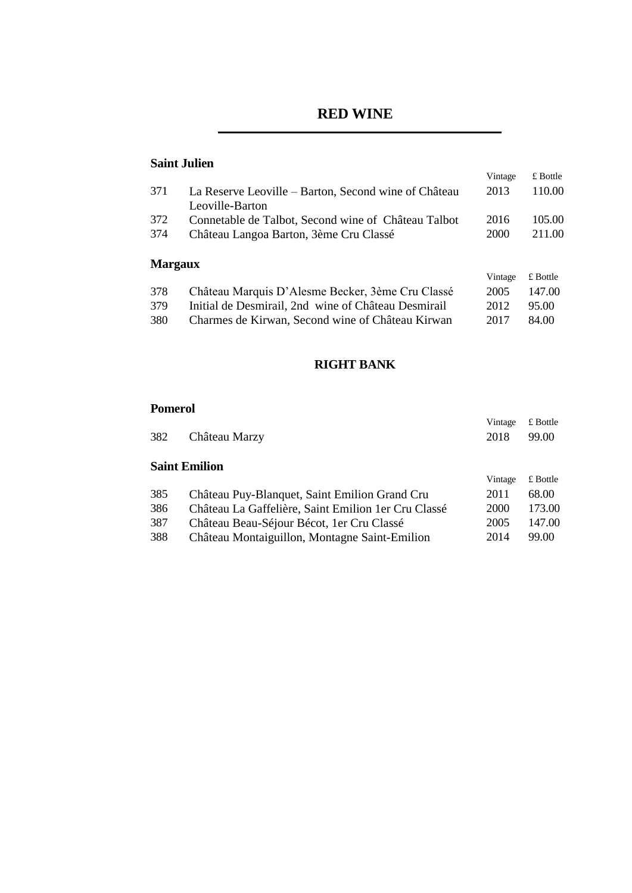## **Saint Julien**

|                |                                                      | Vintage | $\pounds$ Bottle |
|----------------|------------------------------------------------------|---------|------------------|
| 371            | La Reserve Leoville – Barton, Second wine of Château | 2013    | 110.00           |
|                | Leoville-Barton                                      |         |                  |
| 372            | Connetable de Talbot, Second wine of Château Talbot  | 2016    | 105.00           |
| 374            | Château Langoa Barton, 3ème Cru Classé               | 2000    | 211.00           |
| <b>Margaux</b> |                                                      |         |                  |
|                |                                                      | Vintage | $£$ Bottle       |
| 378            | Château Marquis D'Alesme Becker, 3ème Cru Classé     | 2005    | 147.00           |
| 379            | Initial de Desmirail, 2nd wine of Château Desmirail  | 2012    | 95.00            |
| 380            | Charmes de Kirwan, Second wine of Château Kirwan     | 2017    | 84.00            |

#### **RIGHT BANK**

## **Pomerol**

| 382 | Château Marzy                                        | Vintage<br>2018 | £ Bottle<br>99.00 |
|-----|------------------------------------------------------|-----------------|-------------------|
|     |                                                      |                 |                   |
|     | <b>Saint Emilion</b>                                 |                 |                   |
|     |                                                      | Vintage         | £ Bottle          |
| 385 | Château Puy-Blanquet, Saint Emilion Grand Cru        | 2011            | 68.00             |
| 386 | Château La Gaffelière, Saint Emilion 1 er Cru Classé | 2000            | 173.00            |
| 387 | Château Beau-Séjour Bécot, 1 er Cru Classé           | 2005            | 147.00            |
| 388 | Château Montaiguillon, Montagne Saint-Emilion        | 2014            | 99.00             |
|     |                                                      |                 |                   |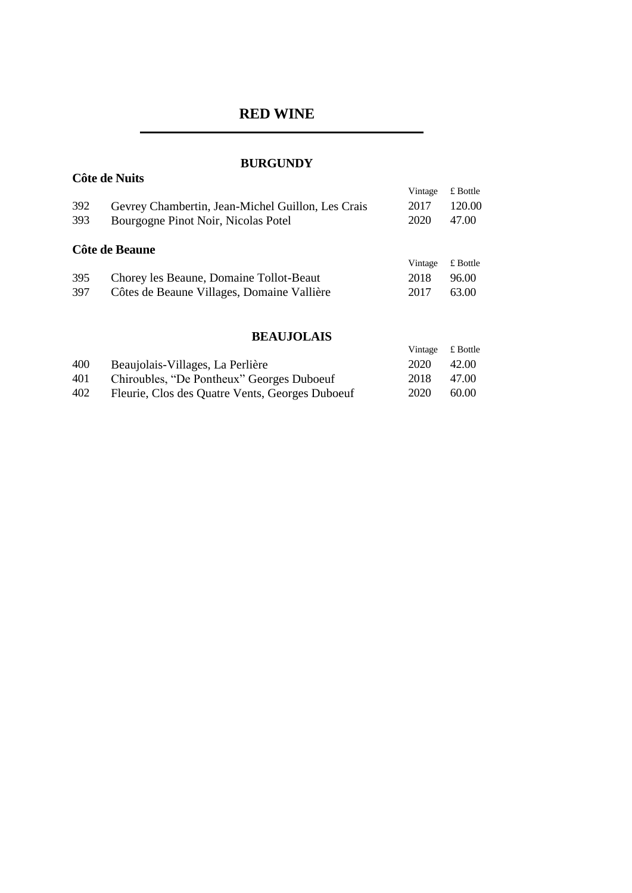## **BURGUNDY**

**Côte de Nuits**

| 392<br>393 | Gevrey Chambertin, Jean-Michel Guillon, Les Crais<br>Bourgogne Pinot Noir, Nicolas Potel | Vintage<br>2017<br>2020 | $\pounds$ Bottle<br>120.00<br>47.00 |
|------------|------------------------------------------------------------------------------------------|-------------------------|-------------------------------------|
|            | Côte de Beaune                                                                           |                         | $£$ Bottle                          |
| 395        | Chorey les Beaune, Domaine Tollot-Beaut                                                  | Vintage<br>2018         | 96.00                               |
| 397        | Côtes de Beaune Villages, Domaine Vallière                                               | 2017                    | 63.00                               |
|            |                                                                                          |                         |                                     |
|            |                                                                                          |                         |                                     |

## **BEAUJOLAIS**

|     |                                                 | Vintage | £ Bottle |
|-----|-------------------------------------------------|---------|----------|
| 400 | Beaujolais-Villages, La Perlière                | 2020    | 42.00    |
| 401 | Chiroubles, "De Pontheux" Georges Duboeuf       | 2018    | 47.00    |
| 402 | Fleurie, Clos des Quatre Vents, Georges Duboeuf | 2020    | 60.00    |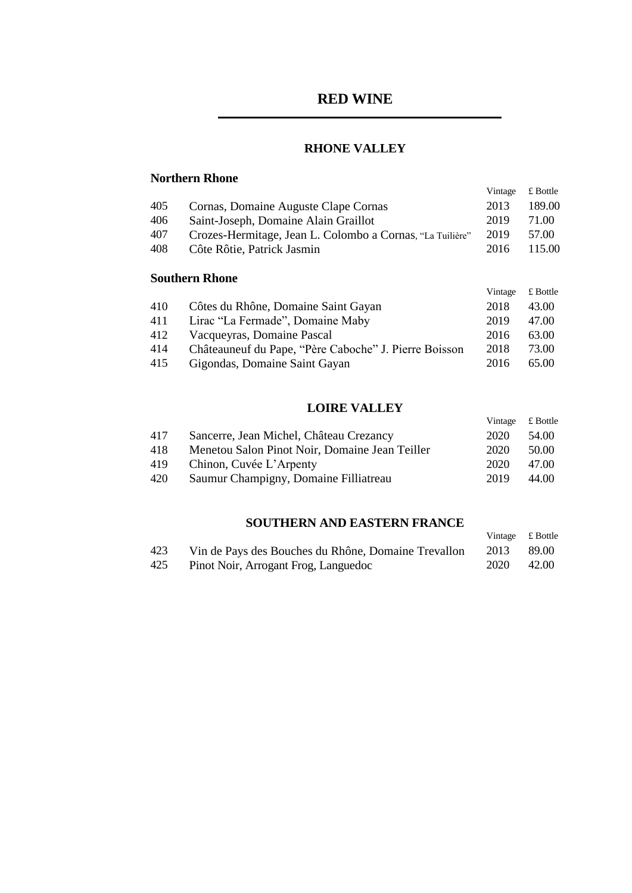## **RHONE VALLEY**

## **Northern Rhone**

|     |                                                           | Vintage | $\pounds$ Bottle |
|-----|-----------------------------------------------------------|---------|------------------|
| 405 | Cornas, Domaine Auguste Clape Cornas                      | 2013    | 189.00           |
| 406 | Saint-Joseph, Domaine Alain Graillot                      | 2019    | 71.00            |
| 407 | Crozes-Hermitage, Jean L. Colombo a Cornas, "La Tuilière" | 2019    | 57.00            |
| 408 | Côte Rôtie, Patrick Jasmin                                | 2016    | 115.00           |
|     |                                                           |         |                  |

## **Southern Rhone**

|     |                                                       | Vintage | £ Bottle |
|-----|-------------------------------------------------------|---------|----------|
| 410 | Côtes du Rhône, Domaine Saint Gayan                   | 2018    | 43.00    |
| 411 | Lirac "La Fermade", Domaine Maby                      | 2019    | 47.00    |
| 412 | Vacqueyras, Domaine Pascal                            | 2016    | 63.00    |
| 414 | Châteauneuf du Pape, "Père Caboche" J. Pierre Boisson | 2018    | 73.00    |
| 415 | Gigondas, Domaine Saint Gayan                         | 2016    | 65.00    |

## **LOIRE VALLEY**

|     |                                                | Vintage | $\pounds$ Bottle |
|-----|------------------------------------------------|---------|------------------|
| 417 | Sancerre, Jean Michel, Château Crezancy        | 2020    | 54.00            |
| 418 | Menetou Salon Pinot Noir, Domaine Jean Teiller | 2020    | 50.00            |
| 419 | Chinon, Cuvée L'Arpenty                        | 2020    | 47.00            |
| 420 | Saumur Champigny, Domaine Filliatreau          | 2019    | 44.00            |

## **SOUTHERN AND EASTERN FRANCE**

|     |                                                     |      | Vintage £ Bottle |
|-----|-----------------------------------------------------|------|------------------|
| 423 | Vin de Pays des Bouches du Rhône, Domaine Trevallon | 2013 | -89.00           |
| 425 | Pinot Noir, Arrogant Frog, Languedoc                | 2020 | 42.00            |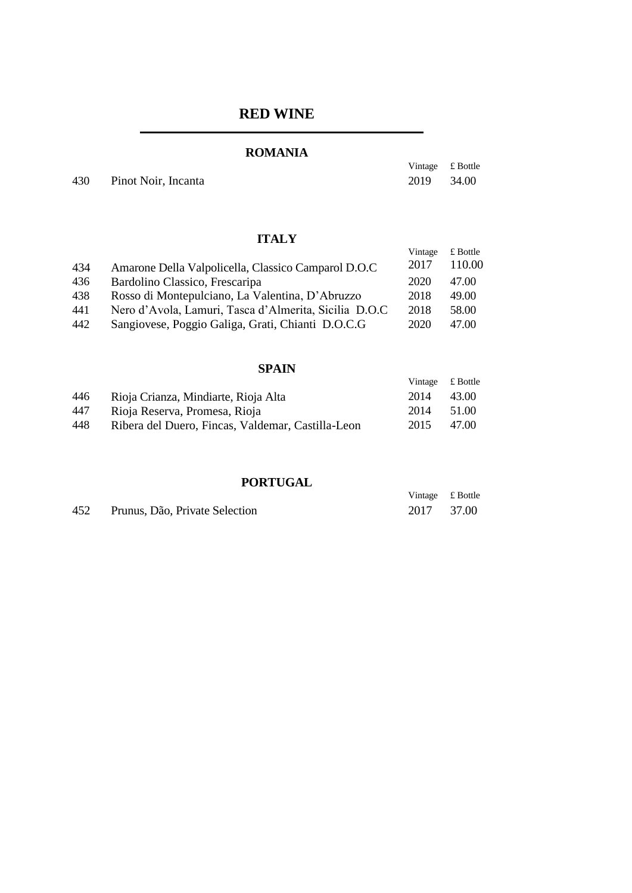## **ROMANIA**

Vintage £ Bottle

430 Pinot Noir, Incanta 2019 34.00

## **ITALY**

|     |                                                       | Vintage | $£$ Bottle |
|-----|-------------------------------------------------------|---------|------------|
| 434 | Amarone Della Valpolicella, Classico Camparol D.O.C   | 2017    | 110.00     |
| 436 | Bardolino Classico, Frescaripa                        | 2020    | 47.00      |
| 438 | Rosso di Montepulciano, La Valentina, D'Abruzzo       | 2018    | 49.00      |
| 441 | Nero d'Avola, Lamuri, Tasca d'Almerita, Sicilia D.O.C | 2018    | 58.00      |
| 442 | Sangiovese, Poggio Galiga, Grati, Chianti D.O.C.G     | 2020    | 47.00      |

#### **SPAIN**

|     |                                                   | Vintage £ Bottle |       |
|-----|---------------------------------------------------|------------------|-------|
| 446 | Rioja Crianza, Mindiarte, Rioja Alta              | 2014             | 43.00 |
| 447 | Rioja Reserva, Promesa, Rioja                     | 2014             | 51.00 |
| 448 | Ribera del Duero, Fincas, Valdemar, Castilla-Leon | 2015             | 47.00 |

## **PORTUGAL**

|     | 1 VALVULL                      |                  |  |
|-----|--------------------------------|------------------|--|
|     |                                | Vintage £ Bottle |  |
| 452 | Prunus, Dão, Private Selection | 2017 37.00       |  |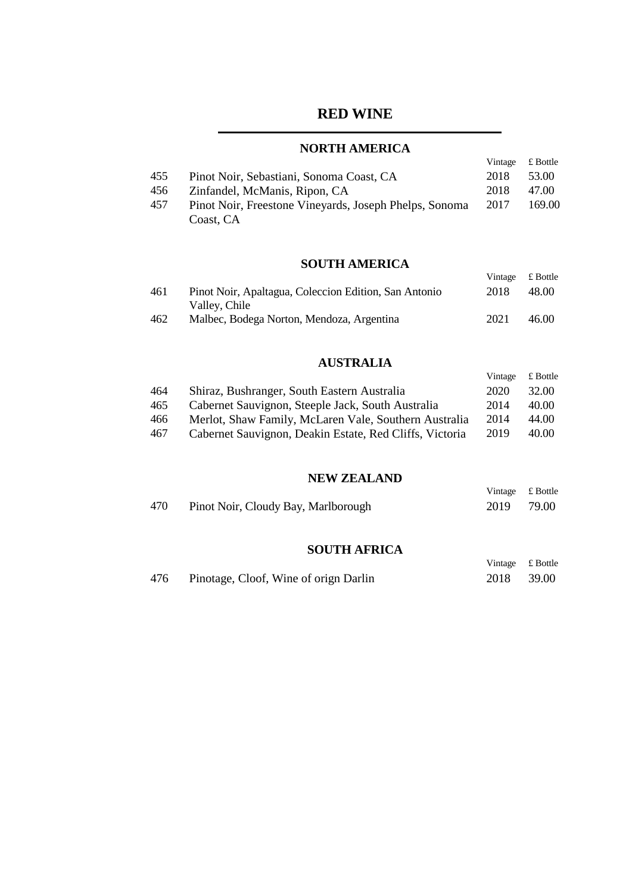## **NORTH AMERICA**

|     |                                                        | Vintage | £ Bottle |
|-----|--------------------------------------------------------|---------|----------|
| 455 | Pinot Noir, Sebastiani, Sonoma Coast, CA               | 2018    | 53.00    |
| 456 | Zinfandel, McManis, Ripon, CA                          | 2018    | 47.00    |
| 457 | Pinot Noir, Freestone Vineyards, Joseph Phelps, Sonoma | 2017    | 169.00   |
|     | Coast, CA                                              |         |          |

## **SOUTH AMERICA**

Vintage £ Bottle

| 461 | Pinot Noir, Apaltagua, Coleccion Edition, San Antonio | 2018 | 48.00 |
|-----|-------------------------------------------------------|------|-------|
|     | Valley, Chile                                         |      |       |
| 462 | Malbec, Bodega Norton, Mendoza, Argentina             | 2021 | 46.00 |

#### **AUSTRALIA**

|     |                                                         | Vintage | £ Bottle |
|-----|---------------------------------------------------------|---------|----------|
| 464 | Shiraz, Bushranger, South Eastern Australia             | 2020    | 32.00    |
| 465 | Cabernet Sauvignon, Steeple Jack, South Australia       | 2014    | 40.00    |
| 466 | Merlot, Shaw Family, McLaren Vale, Southern Australia   | 2014    | 44.00    |
| 467 | Cabernet Sauvignon, Deakin Estate, Red Cliffs, Victoria | 2019    | 40.00    |

#### **NEW ZEALAND**

|     |                                     | Vintage £ Bottle |       |
|-----|-------------------------------------|------------------|-------|
| 470 | Pinot Noir, Cloudy Bay, Marlborough | 2019             | 79.00 |

#### **SOUTH AFRICA**

|     |                                       | Vintage £ Bottle |       |
|-----|---------------------------------------|------------------|-------|
| 476 | Pinotage, Cloof, Wine of orign Darlin | 2018             | 39.00 |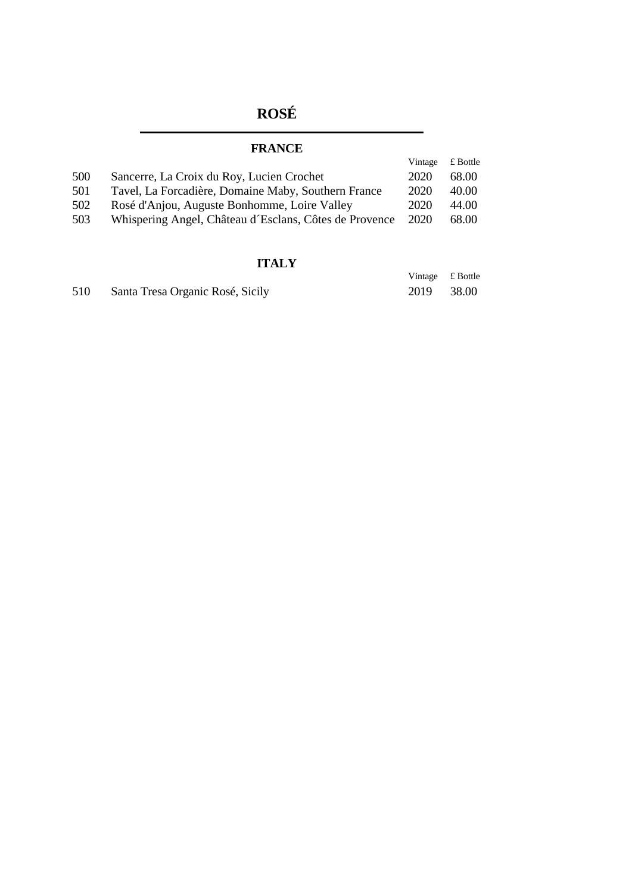# **ROSÉ**

## **FRANCE**

|     |                                                        | Vintage | £ Bottle |
|-----|--------------------------------------------------------|---------|----------|
| 500 | Sancerre, La Croix du Roy, Lucien Crochet              | 2020    | 68.00    |
| 501 | Tavel, La Forcadière, Domaine Maby, Southern France    | 2020    | 40.00    |
| 502 | Rosé d'Anjou, Auguste Bonhomme, Loire Valley           | 2020    | 44.00    |
| 503 | Whispering Angel, Château d'Esclans, Côtes de Provence | 2020    | 68.00    |

## **ITALY**

|     |                                  | Vintage £ Bottle |       |
|-----|----------------------------------|------------------|-------|
| 510 | Santa Tresa Organic Rosé, Sicily | 2019             | 38.00 |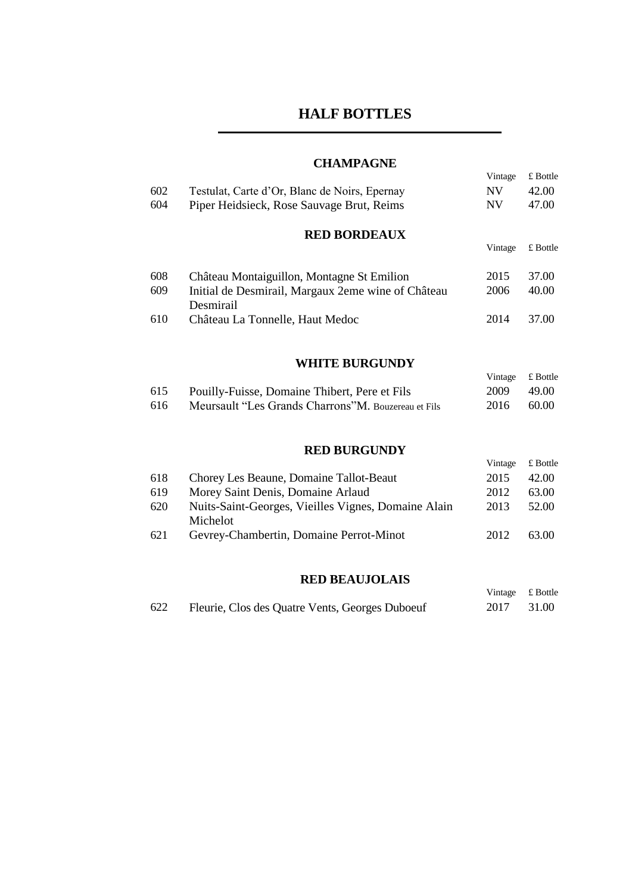# **HALF BOTTLES**

## **CHAMPAGNE**

|     |                                                                 | Vintage   | £ Bottle   |
|-----|-----------------------------------------------------------------|-----------|------------|
| 602 | Testulat, Carte d'Or, Blanc de Noirs, Epernay                   | <b>NV</b> | 42.00      |
| 604 | Piper Heidsieck, Rose Sauvage Brut, Reims                       | <b>NV</b> | 47.00      |
|     | <b>RED BORDEAUX</b>                                             |           |            |
|     |                                                                 | Vintage   | $£$ Bottle |
| 608 | Château Montaiguillon, Montagne St Emilion                      | 2015      | 37.00      |
| 609 | Initial de Desmirail, Margaux 2eme wine of Château<br>Desmirail | 2006      | 40.00      |
| 610 | Château La Tonnelle, Haut Medoc                                 | 2014      | 37.00      |
|     |                                                                 |           |            |
|     | <b>WHITE BURGUNDY</b>                                           |           |            |
|     |                                                                 | Vintage   | £ Bottle   |

| 615  | Pouilly-Fuisse, Domaine Thibert, Pere et Fils        | 2009 | 49.00 |
|------|------------------------------------------------------|------|-------|
| -616 | Meursault "Les Grands Charrons" M. Bouzereau et Fils | 2016 | 60.00 |

## **RED BURGUNDY**

|     |                                                                 | Vintage | £ Bottle |
|-----|-----------------------------------------------------------------|---------|----------|
| 618 | Chorey Les Beaune, Domaine Tallot-Beaut                         | 2015    | 42.00    |
| 619 | Morey Saint Denis, Domaine Arlaud                               | 2012    | 63.00    |
| 620 | Nuits-Saint-Georges, Vieilles Vignes, Domaine Alain<br>Michelot | 2013    | 52.00    |
| 621 | Gevrey-Chambertin, Domaine Perrot-Minot                         | 2012    | 63.00    |

## **RED BEAUJOLAIS**

Vintage £ Bottle

| 622 | Fleurie, Clos des Quatre Vents, Georges Duboeuf |  | 2017 31.00 |
|-----|-------------------------------------------------|--|------------|
|-----|-------------------------------------------------|--|------------|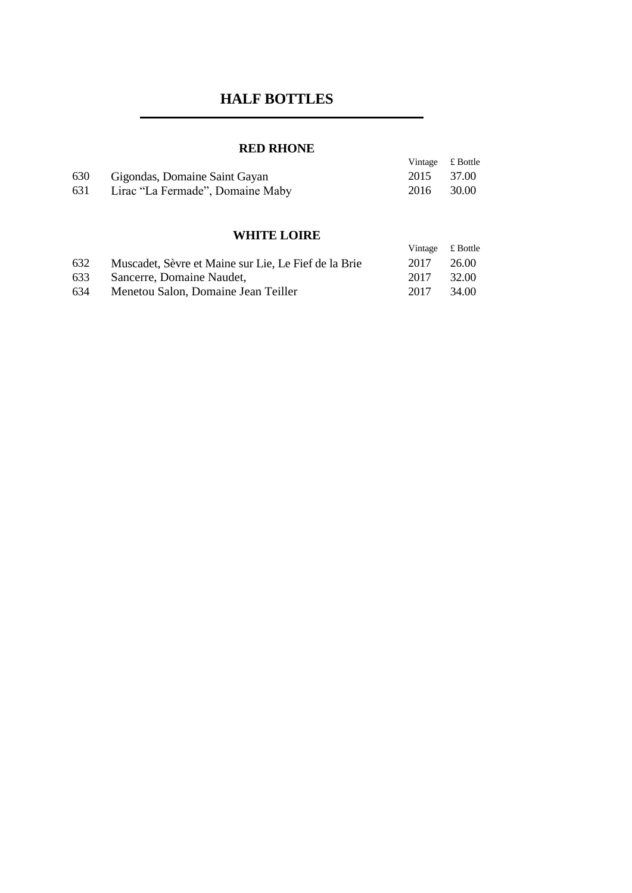# **HALF BOTTLES**

## **RED RHONE**

|     | ------------                     |                  |       |
|-----|----------------------------------|------------------|-------|
|     |                                  | Vintage £ Bottle |       |
| 630 | Gigondas, Domaine Saint Gayan    | 2015 37.00       |       |
| 631 | Lirac "La Fermade", Domaine Maby | 2016             | 30.00 |
|     |                                  |                  |       |

## **WHITE LOIRE**

|     |                                                      | Vintage £ Bottle |       |
|-----|------------------------------------------------------|------------------|-------|
| 632 | Muscadet, Sèvre et Maine sur Lie, Le Fief de la Brie | 2017             | 26.00 |
| 633 | Sancerre, Domaine Naudet,                            | 2017             | 32.00 |
| 634 | Menetou Salon, Domaine Jean Teiller                  | 2017             | 34.00 |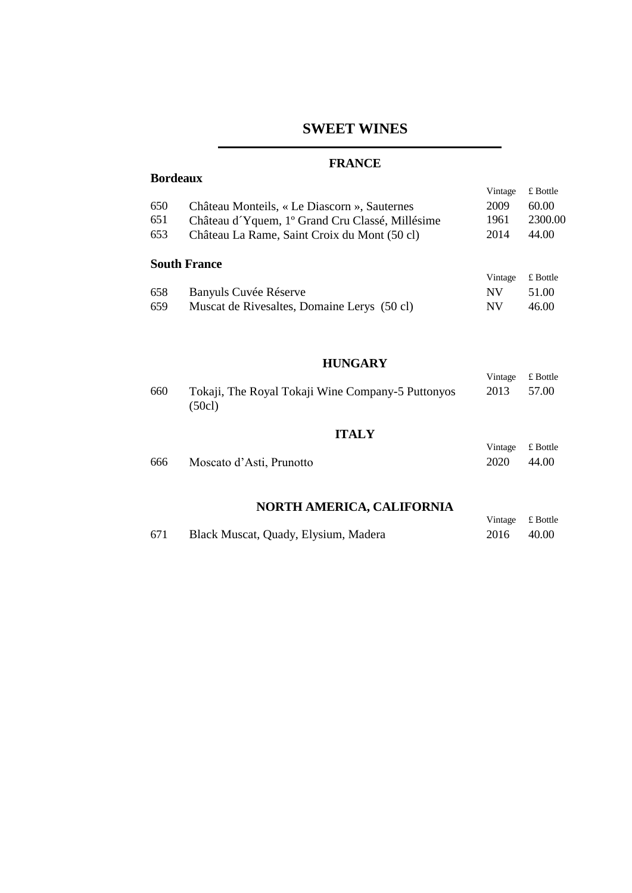# **SWEET WINES**

## **FRANCE**

**Bordeaux** 

| Vintage | £ Bottle |
|---------|----------|
| 2009    | 60.00    |
| 1961    | 2300.00  |
| 2014    | 44.00    |
|         |          |
|         | £ Bottle |
| NV      | 51.00    |
| NV      | 46.00    |
|         | Vintage  |

#### **HUNGARY**

|     |                                                   | Vintage | £ Bottle         |
|-----|---------------------------------------------------|---------|------------------|
| 660 | Tokaji, The Royal Tokaji Wine Company-5 Puttonyos | 2013    | 57.00            |
|     | (50c)                                             |         |                  |
|     |                                                   |         |                  |
|     | <b>ITALY</b>                                      |         |                  |
|     |                                                   | Vintage | $\pounds$ Bottle |
| 666 | Moscato d'Asti, Prunotto                          | 2020    | 44.00            |

## **NORTH AMERICA, CALIFORNIA**

|     |                                      | Vintage £ Bottle |        |
|-----|--------------------------------------|------------------|--------|
| 671 | Black Muscat, Quady, Elysium, Madera | 2016             | -40.00 |